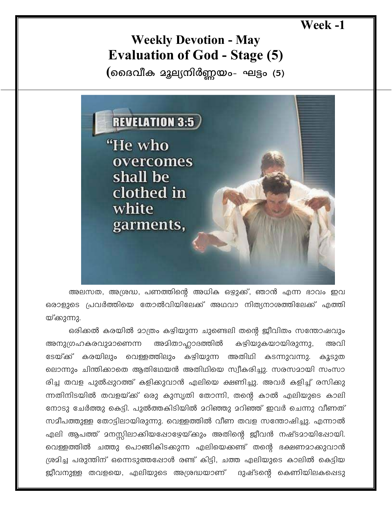## Week -1

## **Weekly Devotion - May Evaluation of God - Stage (5)**

(മൈവീക മുല്യനിർണ്ണയം- ഘട്ടം (5)



അലസത, അശ്രദ്ധ, പണത്തിന്റെ അധിക ഒഴ്യുക്ക്, ഞാൻ എന്ന ഭാവം ഇവ ഒരാളുടെ പ്രവർത്തിയെ തോൽവിയിലേക്ക് അഥവാ നിത്യനാശത്തിലേക്ക് എത്തി യ്ക്കുന്നു.

ഒരിക്കൽ കരയിൽ മാത്രം കഴിയുന്ന ചുണ്ടെലി തന്റെ ജീവിതം സന്തോഷവും അമിതാഹ്ലാദത്തിൽ കഴിയുകയായിരുന്നു, അനുഗ്രഹകരവുമാണെന്ന അവി ടേയ്ക്ക് കരയിലും വെള്ളത്തിലും കഴിയുന്ന അതിഥി കടന്നുവന്നു. കൂടുത ലൊന്നും ചിന്തിക്കാതെ ആതിഥേയൻ അതിഥിയെ സ്വീകരിച്ചു. സരസമായി സംസാ രിച്ച തവള പുൽപ്പുറത്ത് കളിക്കുവാൻ എലിയെ ക്ഷണിച്ചു. അവർ കളിച്ച് രസിക്കു ന്നതിനിടയിൽ തവളയ്ക്ക് ഒരു കുസൃതി തോന്നി, തന്റെ കാൽ എലിയുടെ കാലി നോടു ചേർത്തു കെട്ടി. പുൽത്തകിടിയിൽ മറിഞ്ഞു മറിഞ്ഞ് ഇവർ ചെന്നു വീണത് സമീപത്തുള്ള തോട്ടിലായിരുന്നു. വെള്ളത്തിൽ വീണ തവള സന്തോഷിച്ചു. എന്നാൽ എലി ആപത്ത് മനസ്സിലാക്കിയപ്പോഴേയ്ക്കും അതിന്റെ ജീവൻ നഷ്ടമായിഷോയി. വെള്ളത്തിൽ ചത്തു പൊങ്ങികിടക്കുന്ന എലിയെക്കണ്ട് തന്റെ ഭക്ഷണമാക്കുവാൻ ശ്രമിച്ച പരുന്തിന് ഒന്നെടുത്തപ്പോൾ രണ്ട് കിട്ടി, ചത്ത എലിയുടെ കാലിൽ കെട്ടിയ ജീവനുള്ള തവളയെ, എലിയുടെ അശ്രദ്ധയാണ് ദുഷ്ടന്റെ കെണിയിലകപ്പെടു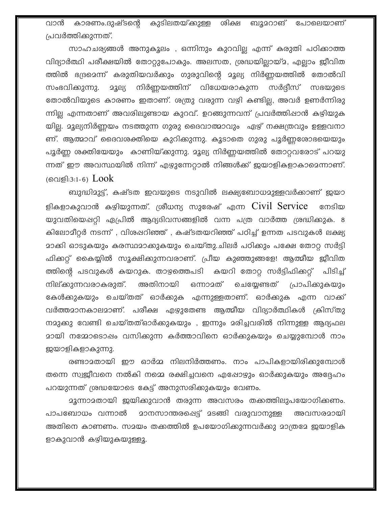വാൻ കാരണം.ദുഷ്ടന്റെ കുടിലതയ്ക്കുള്ള ശിക്ഷ ബൂമറാങ് പോലെയാണ് പ്രവർത്തിക്കുന്നത്.

സാഹചര്യങ്ങൾ അനുകൂലം , ഒന്നിനും കുറവില്ല എന്ന് കരുതി പഠിക്കാത്ത വിദ്യാർത്ഥി പരീക്ഷയിൽ തോറ്റുപോകും. അലസത, ശ്രദ്ധയില്ലായ്മ, എല്ലാം ജീവിത ത്തിൽ ഭദ്രമെന്ന് കരുതിയവർക്കും ഗുരുവിന്റെ മൂല്യ നിർണ്ണയത്തിൽ തോൽവി സംഭവിക്കുന്നു. <u>ാൂല്യ</u> നിർണ്ണയത്തിന് വിധേയരാകുന്ന സർദ്ദീസ് സഭയുടെ തോൽവിയുടെ കാരണം ഇതാണ്. ശത്രു വരുന്ന വഴി കണ്ടില്ല, അവർ ഉണർന്നിരു ന്നില്ല എന്നതാണ് അവരിലുണ്ടായ കുറവ്. ഉറങ്ങുന്നവന് പ്രവർത്തിഷാൻ കഴിയുക യില്ല. മൂല്യനിർണ്ണയം നടത്തുന്ന ഗുരു ദൈവാത്മാവും ഏഴ് നക്ഷത്രവും ഉള്ളവനാ ണ്. ആത്മാവ് ദൈവശക്തിയെ കുറിക്കുന്നു. കൂടാതെ ഗുരു പൂർണ്ണശോഭയെയും പൂർണ്ണ ശക്തിയേയും കാണിയ്ക്കുന്നു. മൂല്യ നിർണ്ണയത്തിൽ തോറ്റവരോട് പറയു ന്നത് ഈ അവസ്ഥയിൽ നിന്ന് എഴുന്നേറ്റാൽ നിങ്ങൾക്ക് ജയാളികളാകാമെന്നാണ്. (വെളി:3:1-6)  $Look$ 

ബുദ്ധിമുട്ട്, കഷ്ടത ഇവയുടെ നടുവിൽ ലക്ഷ്യബോധമുള്ളവർക്കാണ് ജയാ ളികളാകുവാൻ കഴിയുന്നത്. ശ്രീധന്യ സുരേഷ് എന്ന Civil Service നേടിയ യുവതിയെഷറ്റി ഏപ്രിൽ ആദ്യദിവസങ്ങളിൽ വന്ന പത്ര വാർത്ത ശ്രദ്ധിക്കുക. 8 കിലോമീറ്റർ നടന്ന് , വിശപ്പറിഞ്ഞ് , കഷ്ടതയറിഞ്ഞ് പഠിച്ച് ഉന്നത പടവുകൾ ലക്ഷ്യ മാക്കി ഓടുകയും കരസ്ഥമാക്കുകയും ചെയ്തു.ചിലർ പഠിക്കും പക്ഷേ തോറ്റ സർട്ടി ഫിക്കറ്റ് കൈയ്യിൽ സൂക്ഷിക്കുന്നവരാണ്. പ്രീയ കുഞ്ഞുങ്ങളേ! ആത്മീയ ജീവിത ത്തിന്റെ പടവുകൾ കയറുക. താഴത്തെപടി കയറി തോറ്റ സർട്ടിഫിക്കറ്റ് பிടிച് നില്കുന്നവരാകരുത്. അതിനായി ഒന്നാമത് ചെയ്യേണ്ടത് പ്രാപിക്കുകയും കേൾക്കുകയും ചെയ്തത് ഓർക്കുക എന്നുള്ളതാണ്. ഓർക്കുക എന്ന വാക്ക് വർത്തമാനകാലമാണ്. പരീക്ഷ എഴുതേണ്ട ആത്മീയ വിദ്യാർത്ഥികൾ ക്രിസ്തു നമുക്കു വേണ്ടി ചെയ്തത്ഓർക്കുകയും , ഇന്നും മരിച്ചവരിൽ നിന്നുള്ള ആദ്യഫല മായി നമ്മോടൊഷം വസിക്കുന്ന കർത്താവിനെ ഓർക്കുകയും ചെയ്യുമ്പോൾ നാം ജയാളികളാകുന്നു.

രണ്ടാമതായി ഈ ഓർമ്മ നിലനിർത്തണം. നാം പാപികളായിരിക്കുമ്പോൾ തന്നെ സ്വജീവനെ നൽകി നമ്മെ രക്ഷിച്ചവനെ എഷോഴും ഓർക്കുകയും അദ്ദേഹം പറയുന്നത് ശ്രദ്ധയോടെ കേട്ട് അനുസരിക്കുകയും വേണം.

മൂന്നാമതായി ജയിക്കുവാൻ തരുന്ന അവസരം തക്കത്തിലുപയോഗിക്കണം. പാപബോധം വന്നാൽ <u> മാനസാന്തരപ്പെട്ട് മടങ്ങി വരുവാനുള്ള </u> അവസരമായി അതിനെ കാണണം. സമയം തക്കത്തിൽ ഉപയോഗിക്കുന്നവർക്കു മാത്രമേ ജയാളിക ളാകുവാൻ കഴിയുകയുള്ളൂ.